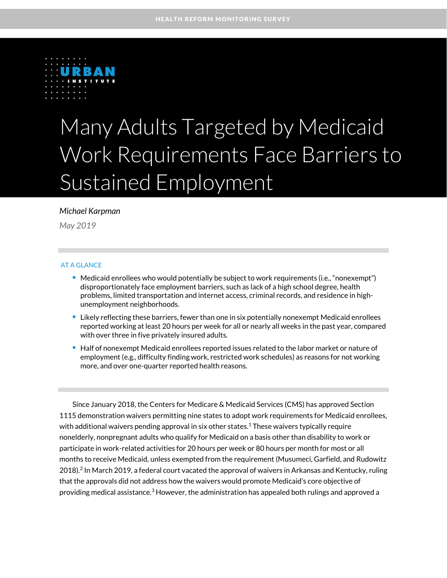

# Many Adults Targeted by Medicaid Work Requirements Face Barriers to Sustained Employment

### *Michael Karpman*

*May 2019*

### AT A GLANCE

- **Medicaid enrollees who would potentially be subject to work requirements (i.e., "nonexempt")** disproportionately face employment barriers, such as lack of a high school degree, health problems, limited transportation and internet access, criminal records, and residence in highunemployment neighborhoods.
- Likely reflecting these barriers, fewer than one in six potentially nonexempt Medicaid enrollees reported working at least 20 hours per week for all or nearly all weeks in the past year, compared with over three in five privately insured adults.
- **Half of nonexempt Medicaid enrollees reported issues related to the labor market or nature of** employment (e.g., difficulty finding work, restricted work schedules) as reasons for not working more, and over one-quarter reported health reasons.

Since January 2018, the Centers for Medicare & Medicaid Services (CMS) has approved Section 1115 demonstration waivers permitting nine states to adopt work requirements for Medicaid enrollees, with additional waivers pending approval in six other states. $^1$  These waivers typically require nonelderly, nonpregnant adults who qualify for Medicaid on a basis other than disability to work or participate in work-related activities for 20 hours per week or 80 hours per month for most or all months to receive Medicaid, unless exempted from the requirement (Musumeci, Garfield, and Rudowitz 2018). 2 In March 2019, a federal court vacated the approval of waivers in Arkansas and Kentucky, ruling that the approvals did not address how the waivers would promote Medicaid's core objective of providing medical assistance.<sup>3</sup> However, the administration has appealed both rulings and approved a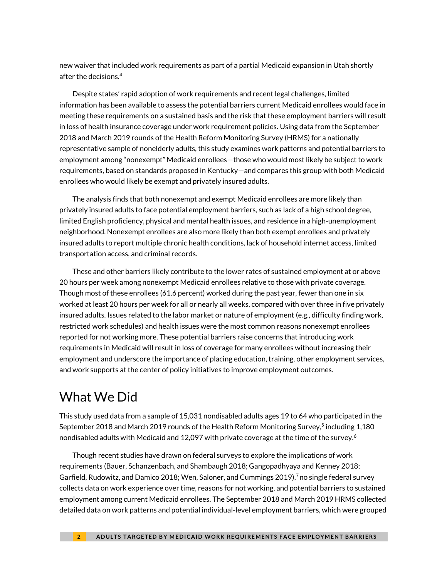new waiver that included work requirements as part of a partial Medicaid expansion in Utah shortly after the decisions. 4

Despite states' rapid adoption of work requirements and recent legal challenges, limited information has been available to assess the potential barriers current Medicaid enrollees would face in meeting these requirements on a sustained basis and the risk that these employment barriers will result in loss of health insurance coverage under work requirement policies. Using data from the September 2018 and March 2019 rounds of the Health Reform Monitoring Survey (HRMS) for a nationally representative sample of nonelderly adults, this study examines work patterns and potential barriers to employment among "nonexempt" Medicaid enrollees—those who would most likely be subject to work requirements, based on standards proposed in Kentucky—and compares this group with both Medicaid enrollees who would likely be exempt and privately insured adults.

The analysis finds that both nonexempt and exempt Medicaid enrollees are more likely than privately insured adults to face potential employment barriers, such as lack of a high school degree, limited English proficiency, physical and mental health issues, and residence in a high-unemployment neighborhood. Nonexempt enrollees are also more likely than both exempt enrollees and privately insured adults to report multiple chronic health conditions, lack of household internet access, limited transportation access, and criminal records.

These and other barriers likely contribute to the lower rates of sustained employment at or above 20 hours per week among nonexempt Medicaid enrollees relative to those with private coverage. Though most of these enrollees (61.6 percent) worked during the past year, fewer than one in six worked at least 20 hours per week for all or nearly all weeks, compared with over three in five privately insured adults. Issues related to the labor market or nature of employment (e.g., difficulty finding work, restricted work schedules) and health issues were the most common reasons nonexempt enrollees reported for not working more. These potential barriers raise concerns that introducing work requirements in Medicaid will result in loss of coverage for many enrollees without increasing their employment and underscore the importance of placing education, training, other employment services, and work supports at the center of policy initiatives to improve employment outcomes.

# What We Did

This study used data from a sample of 15,031 nondisabled adults ages 19 to 64 who participated in the September 2018 and March 2019 rounds of the Health Reform Monitoring Survey, 5 including 1,180 nondisabled adults with Medicaid and 12,097 with private coverage at the time of the survey. $^6$ 

Though recent studies have drawn on federal surveys to explore the implications of work requirements (Bauer, Schanzenbach, and Shambaugh 2018; Gangopadhyaya and Kenney 2018; Garfield, Rudowitz, and Damico 2018; Wen, Saloner, and Cummings 2019), <sup>7</sup> no single federal survey collects data on work experience over time, reasons for not working, and potential barriers to sustained employment among current Medicaid enrollees. The September 2018 and March 2019 HRMS collected detailed data on work patterns and potential individual-level employment barriers, which were grouped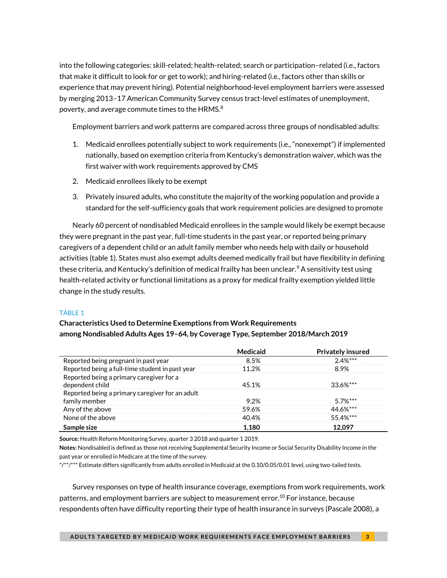into the following categories: skill-related; health-related; search or participation–related (i.e., factors that make it difficult to look for or get to work); and hiring-related (i.e., factors other than skills or experience that may prevent hiring). Potential neighborhood-level employment barriers were assessed by merging 2013–17 American Community Survey census tract-level estimates of unemployment, poverty, and average commute times to the HRMS. $8$ 

Employment barriers and work patterns are compared across three groups of nondisabled adults:

- 1. Medicaid enrollees potentially subject to work requirements (i.e., "nonexempt") if implemented nationally, based on exemption criteria from Kentucky's demonstration waiver, which was the first waiver with work requirements approved by CMS
- 2. Medicaid enrollees likely to be exempt
- 3. Privately insured adults, who constitute the majority of the working population and provide a standard for the self-sufficiency goals that work requirement policies are designed to promote

Nearly 60 percent of nondisabled Medicaid enrollees in the sample would likely be exempt because they were pregnant in the past year, full-time students in the past year, or reported being primary caregivers of a dependent child or an adult family member who needs help with daily or household activities (table 1). States must also exempt adults deemed medically frail but have flexibility in defining these criteria, and Kentucky's definition of medical frailty has been unclear.<sup>9</sup> A sensitivity test using health-related activity or functional limitations as a proxy for medical frailty exemption yielded little change in the study results.

### TABLE 1

### **Characteristics Used to Determine Exemptions from Work Requirements among Nondisabled Adults Ages 19–64, by Coverage Type, September 2018/March 2019**

|                                                                  | <b>Medicaid</b> | <b>Privately insured</b> |
|------------------------------------------------------------------|-----------------|--------------------------|
| Reported being pregnant in past year                             | 8.5%            | $2.4%***$                |
| Reported being a full-time student in past year                  | 11.2%           | 8.9%                     |
| Reported being a primary caregiver for a<br>dependent child      | 45.1%           | $33.6%***$               |
| Reported being a primary caregiver for an adult<br>family member | 9.2%            | $5.7\%***$               |
| Any of the above                                                 | 59.6%           | 44.6%***                 |
| None of the above                                                | 40.4%           | 55.4%***                 |
| Sample size                                                      | 1,180           | 12.097                   |

**Source:** Health Reform Monitoring Survey, quarter 3 2018 and quarter 1 2019.

**Notes:** Nondisabled is defined as those not receiving Supplemental Security Income or Social Security Disability Income in the past year or enrolled in Medicare at the time of the survey.

\*/\*\*/\*\*\* Estimate differs significantly from adults enrolled in Medicaid at the 0.10/0.05/0.01 level, using two-tailed tests.

Survey responses on type of health insurance coverage, exemptions from work requirements, work patterns, and employment barriers are subject to measurement error. <sup>10</sup> For instance, because respondents often have difficulty reporting their type of health insurance in surveys (Pascale 2008), a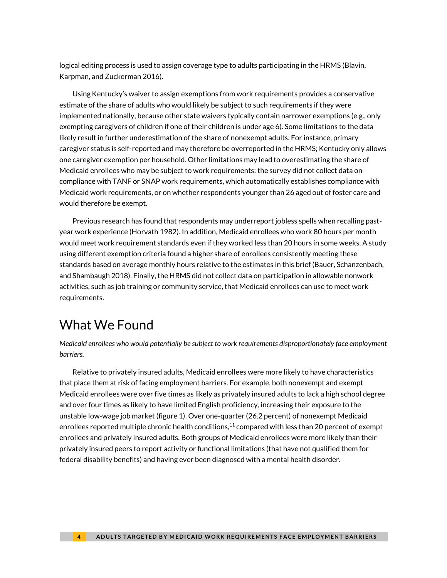logical editing process is used to assign coverage type to adults participating in the HRMS (Blavin, Karpman, and Zuckerman 2016).

Using Kentucky's waiver to assign exemptions from work requirements provides a conservative estimate of the share of adults who would likely be subject to such requirements if they were implemented nationally, because other state waivers typically contain narrower exemptions (e.g., only exempting caregivers of children if one of their children is under age 6). Some limitations to the data likely result in further underestimation of the share of nonexempt adults. For instance, primary caregiver status is self-reported and may therefore be overreported in the HRMS; Kentucky only allows one caregiver exemption per household. Other limitations may lead to overestimating the share of Medicaid enrollees who may be subject to work requirements: the survey did not collect data on compliance with TANF or SNAP work requirements, which automatically establishes compliance with Medicaid work requirements, or on whether respondents younger than 26 aged out of foster care and would therefore be exempt.

Previous research has found that respondents may underreport jobless spells when recalling pastyear work experience (Horvath 1982). In addition, Medicaid enrollees who work 80 hours per month would meet work requirement standards even if they worked less than 20 hours in some weeks. A study using different exemption criteria found a higher share of enrollees consistently meeting these standards based on average monthly hours relative to the estimates in this brief (Bauer, Schanzenbach, and Shambaugh 2018). Finally, the HRMS did not collect data on participation in allowable nonwork activities, such as job training or community service, that Medicaid enrollees can use to meet work requirements.

## What We Found

*Medicaid enrollees who would potentially be subject to work requirements disproportionately face employment barriers.*

Relative to privately insured adults, Medicaid enrollees were more likely to have characteristics that place them at risk of facing employment barriers. For example, both nonexempt and exempt Medicaid enrollees were over five times as likely as privately insured adults to lack a high school degree and over four times as likely to have limited English proficiency, increasing their exposure to the unstable low-wage job market (figure 1). Over one-quarter (26.2 percent) of nonexempt Medicaid enrollees reported multiple chronic health conditions, $11$  compared with less than 20 percent of exempt enrollees and privately insured adults. Both groups of Medicaid enrollees were more likely than their privately insured peers to report activity or functional limitations (that have not qualified them for federal disability benefits) and having ever been diagnosed with a mental health disorder.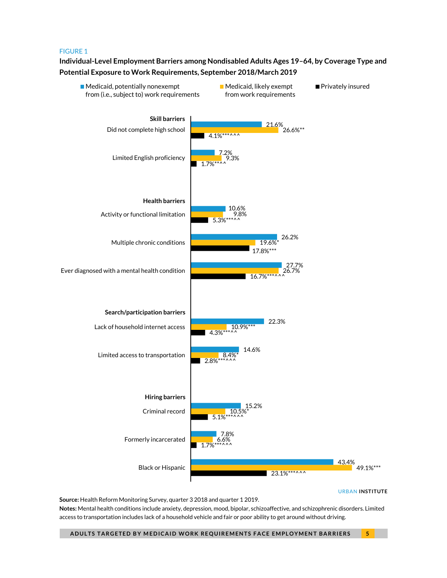#### FIGURE 1

### **Individual-Level Employment Barriers among Nondisabled Adults Ages 19–64, by Coverage Type and Potential Exposure to Work Requirements, September 2018/March 2019**

1.7%\*\*\*^^^  $5.1\%***$ <sup>^^^</sup>  $2.8\%***$  $4.3\%***^*$ ^^  $16.7\%***$ ^^ 17.8%\*\*\*  $5.3%$ <sup>\*</sup> 1.7%\*\*^^  $4.1\%***$ 6.6% 8.4% 26.7% 19.6%\* 9.8% 9.3% 21.6%<br>26.6%\*\* 7.8% 15.2% 14.6% 22.3% 27.7% 26.2% 10.6% 7.2% Formerly incarcerated Criminal record Limited access to transportation Lack of household internet access Ever diagnosed with a mental health condition Multiple chronic conditions Activity or functional limitation Limited English proficiency Did not complete high school ■ Medicaid, potentially nonexempt from (i.e., subject to) work requirements  $\blacksquare$  Medicaid, likely exempt from work requirements Privately insured **Skill barriers Health barriers Search/participation barriers Hiring barriers**

URBAN **INSTITUTE**

49.1%\*\*\*

43.4%

**Source:** Health Reform Monitoring Survey, quarter 3 2018 and quarter 1 2019. **Notes:** Mental health conditions include anxiety, depression, mood, bipolar, schizoaffective, and schizophrenic disorders. Limited access to transportation includes lack of a household vehicle and fair or poor ability to get around without driving.

 $\blacksquare$  23.1%\*\*\*^^^

Black or Hispanic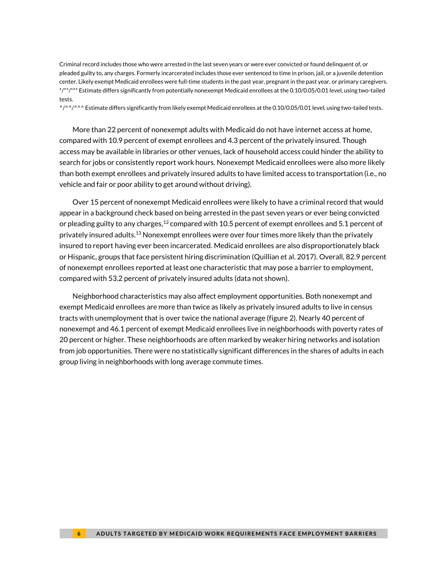Criminal record includes those who were arrested in the last seven years or were ever convicted or found delinquent of, or pleaded guilty to, any charges. Formerly incarcerated includes those ever sentenced to time in prison, jail, or a juvenile detention center. Likely exempt Medicaid enrollees were full-time students in the past year, pregnant in the past year, or primary caregivers. \*/\*\*/\*\*\* Estimate differs significantly from potentially nonexempt Medicaid enrollees at the 0.10/0.05/0.01 level, using two-tailed tests.

 $\gamma/\gamma/\gamma$  ^ Estimate differs significantly from likely exempt Medicaid enrollees at the 0.10/0.05/0.01 level, using two-tailed tests.

More than 22 percent of nonexempt adults with Medicaid do not have internet access at home, compared with 10.9 percent of exempt enrollees and 4.3 percent of the privately insured. Though access may be available in libraries or other venues, lack of household access could hinder the ability to search for jobs or consistently report work hours. Nonexempt Medicaid enrollees were also more likely than both exempt enrollees and privately insured adults to have limited access to transportation (i.e., no vehicle and fair or poor ability to get around without driving).

Over 15 percent of nonexempt Medicaid enrollees were likely to have a criminal record that would appear in a background check based on being arrested in the past seven years or ever being convicted or pleading guilty to any charges, $^{12}$  compared with 10.5 percent of exempt enrollees and 5.1 percent of privately insured adults.<sup>13</sup> Nonexempt enrollees were over four times more likely than the privately insured to report having ever been incarcerated. Medicaid enrollees are also disproportionately black or Hispanic, groups that face persistent hiring discrimination (Quillian et al. 2017). Overall, 82.9 percent of nonexempt enrollees reported at least one characteristic that may pose a barrier to employment, compared with 53.2 percent of privately insured adults (data not shown).

Neighborhood characteristics may also affect employment opportunities. Both nonexempt and exempt Medicaid enrollees are more than twice as likely as privately insured adults to live in census tracts with unemployment that is over twice the national average (figure 2). Nearly 40 percent of nonexempt and 46.1 percent of exempt Medicaid enrollees live in neighborhoods with poverty rates of 20 percent or higher. These neighborhoods are often marked by weaker hiring networks and isolation from job opportunities. There were no statistically significant differences in the shares of adults in each group living in neighborhoods with long average commute times.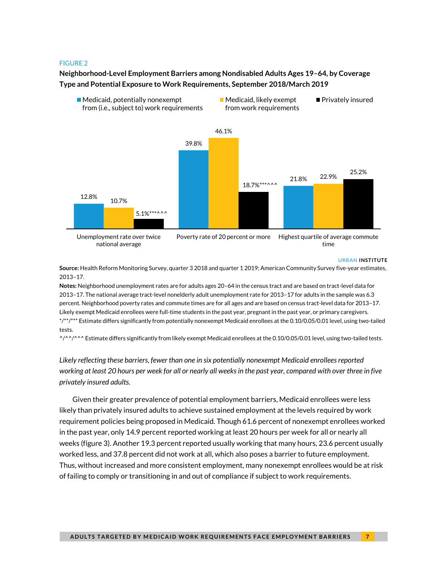#### FIGURE 2

**Neighborhood-Level Employment Barriers among Nondisabled Adults Ages 19–64, by Coverage Type and Potential Exposure to Work Requirements, September 2018/March 2019**



#### URBAN **INSTITUTE**

**Source:** Health Reform Monitoring Survey, quarter 3 2018 and quarter 1 2019; American Community Survey five-year estimates, 2013–17.

**Notes:** Neighborhood unemployment rates are for adults ages 20–64 in the census tract and are based on tract-level data for 2013–17. The national average tract-level nonelderly adult unemployment rate for 2013–17 for adults in the sample was 6.3 percent. Neighborhood poverty rates and commute times are for all ages and are based on census tract-level data for 2013–17. Likely exempt Medicaid enrollees were full-time students in the past year, pregnant in the past year, or primary caregivers. \*/\*\*/\*\*\* Estimate differs significantly from potentially nonexempt Medicaid enrollees at the 0.10/0.05/0.01 level, using two-tailed tests.

 $\frac{1}{2}$ <sup> $\frac{1}{2}$ </sup> Estimate differs significantly from likely exempt Medicaid enrollees at the 0.10/0.05/0.01 level, using two-tailed tests.

*Likely reflecting these barriers, fewer than one in six potentially nonexempt Medicaid enrollees reported working at least 20 hours per week for all or nearly all weeks in the past year, compared with over three in five privately insured adults.*

Given their greater prevalence of potential employment barriers, Medicaid enrollees were less likely than privately insured adults to achieve sustained employment at the levels required by work requirement policies being proposed in Medicaid. Though 61.6 percent of nonexempt enrollees worked in the past year, only 14.9 percent reported working at least 20 hours per week for all or nearly all weeks (figure 3). Another 19.3 percent reported usually working that many hours, 23.6 percent usually worked less, and 37.8 percent did not work at all, which also poses a barrier to future employment. Thus, without increased and more consistent employment, many nonexempt enrollees would be at risk of failing to comply or transitioning in and out of compliance if subject to work requirements.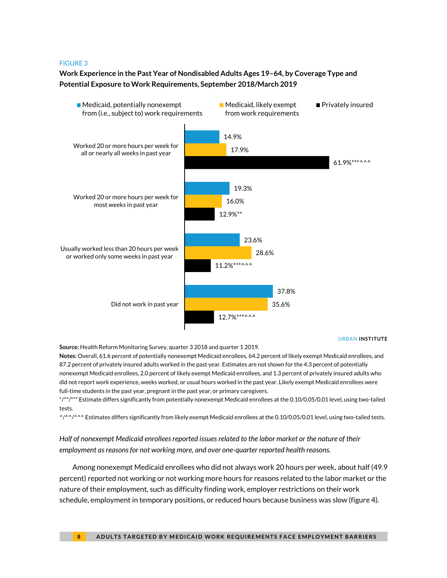#### FIGURE 3

### **Work Experience in the Past Year of Nondisabled Adults Ages 19–64, by Coverage Type and Potential Exposure to Work Requirements, September 2018/March 2019**



#### URBAN **INSTITUTE**

**Source:** Health Reform Monitoring Survey, quarter 3 2018 and quarter 1 2019.

**Notes:** Overall, 61.6 percent of potentially nonexempt Medicaid enrollees, 64.2 percent of likely exempt Medicaid enrollees, and 87.2 percent of privately insured adults worked in the past year. Estimates are not shown for the 4.3 percent of potentially nonexempt Medicaid enrollees, 2.0 percent of likely exempt Medicaid enrollees, and 1.3 percent of privately insured adults who did not report work experience, weeks worked, or usual hours worked in the past year. Likely exempt Medicaid enrollees were full-time students in the past year, pregnant in the past year, or primary caregivers.

\*/\*\*/\*\*\* Estimate differs significantly from potentially nonexempt Medicaid enrollees at the 0.10/0.05/0.01 level, using two-tailed tests.

 $\gamma/\gamma$ <sup>2</sup> Estimates differs significantly from likely exempt Medicaid enrollees at the 0.10/0.05/0.01 level, using two-tailed tests.

*Half of nonexempt Medicaid enrollees reported issues related to the labor market or the nature of their employment as reasons for not working more, and over one-quarter reported health reasons.*

Among nonexempt Medicaid enrollees who did not always work 20 hours per week, about half (49.9 percent) reported not working or not working more hours for reasons related to the labor market or the nature of their employment, such as difficulty finding work, employer restrictions on their work schedule, employment in temporary positions, or reduced hours because business was slow (figure 4).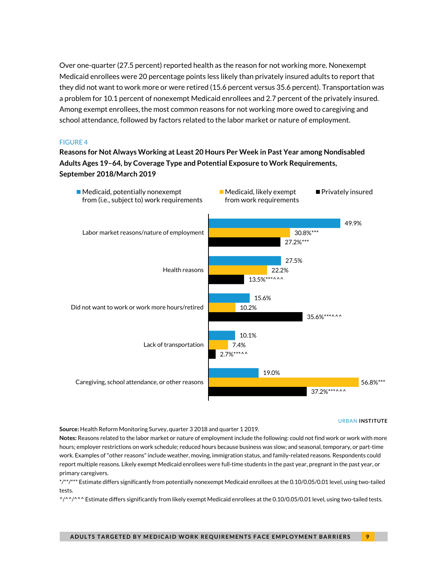Over one-quarter (27.5 percent) reported health as the reason for not working more. Nonexempt Medicaid enrollees were 20 percentage points less likely than privately insured adults to report that they did not want to work more or were retired (15.6 percent versus 35.6 percent). Transportation was a problem for 10.1 percent of nonexempt Medicaid enrollees and 2.7 percent of the privately insured. Among exempt enrollees, the most common reasons for not working more owed to caregiving and school attendance, followed by factors related to the labor market or nature of employment.

#### FIGURE 4

**Reasons for Not Always Working at Least 20 Hours Per Week in Past Year among Nondisabled Adults Ages 19–64, by Coverage Type and Potential Exposure to Work Requirements, September 2018/March 2019**



#### URBAN **INSTITUTE**

**Source:** Health Reform Monitoring Survey, quarter 3 2018 and quarter 1 2019.

**Notes:** Reasons related to the labor market or nature of employment include the following: could not find work or work with more hours; employer restrictions on work schedule; reduced hours because business was slow; and seasonal, temporary, or part-time work. Examples of "other reasons" include weather, moving, immigration status, and family-related reasons. Respondents could report multiple reasons. Likely exempt Medicaid enrollees were full-time students in the past year, pregnant in the past year, or primary caregivers.

\*/\*\*/\*\*\* Estimate differs significantly from potentially nonexempt Medicaid enrollees at the 0.10/0.05/0.01 level, using two-tailed tests.

 $\frac{1}{2}$ <sup> $\frac{1}{2}$ </sup> Estimate differs significantly from likely exempt Medicaid enrollees at the 0.10/0.05/0.01 level, using two-tailed tests.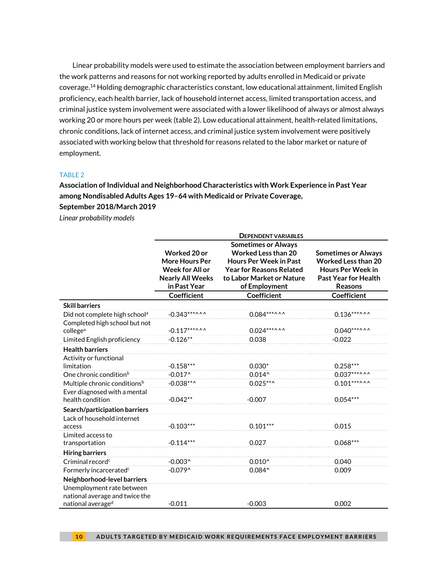Linear probability models were used to estimate the association between employment barriers and the work patterns and reasons for not working reported by adults enrolled in Medicaid or private coverage.<sup>14</sup> Holding demographic characteristics constant, low educational attainment, limited English proficiency, each health barrier, lack of household internet access, limited transportation access, and criminal justice system involvement were associated with a lower likelihood of always or almost always working 20 or more hours per week (table 2). Low educational attainment, health-related limitations, chronic conditions, lack of internet access, and criminal justice system involvement were positively associated with working below that threshold for reasons related to the labor market or nature of employment.

#### TABLE 2

**Association of Individual and Neighborhood Characteristics with Work Experience in Past Year among Nondisabled Adults Ages 19–64 with Medicaid or Private Coverage,** 

**September 2018/March 2019**

*Linear probability models*

|                                                                                  | <b>DEPENDENT VARIABLES</b><br><b>Sometimes or Always</b>                                            |                                                                                                                                              |                                                                                                                                |  |
|----------------------------------------------------------------------------------|-----------------------------------------------------------------------------------------------------|----------------------------------------------------------------------------------------------------------------------------------------------|--------------------------------------------------------------------------------------------------------------------------------|--|
|                                                                                  |                                                                                                     |                                                                                                                                              |                                                                                                                                |  |
|                                                                                  | Worked 20 or<br><b>More Hours Per</b><br>Week for All or<br><b>Nearly All Weeks</b><br>in Past Year | <b>Worked Less than 20</b><br><b>Hours Per Week in Past</b><br><b>Year for Reasons Related</b><br>to Labor Market or Nature<br>of Employment | <b>Sometimes or Always</b><br><b>Worked Less than 20</b><br><b>Hours Per Week in</b><br>Past Year for Health<br><b>Reasons</b> |  |
|                                                                                  | <b>Coefficient</b>                                                                                  | Coefficient                                                                                                                                  | <b>Coefficient</b>                                                                                                             |  |
| <b>Skill barriers</b>                                                            |                                                                                                     |                                                                                                                                              |                                                                                                                                |  |
| Did not complete high school <sup>a</sup>                                        | $-0.343***$                                                                                         | $0.084***$                                                                                                                                   | $0.136***$                                                                                                                     |  |
| Completed high school but not<br>college <sup>a</sup>                            | $-0.117***$                                                                                         | $0.024***$                                                                                                                                   | $0.040***$                                                                                                                     |  |
| Limited English proficiency                                                      | $-0.126**$                                                                                          | 0.038                                                                                                                                        | $-0.022$                                                                                                                       |  |
| <b>Health barriers</b>                                                           |                                                                                                     |                                                                                                                                              |                                                                                                                                |  |
| Activity or functional<br>limitation                                             | $-0.158***$                                                                                         | $0.030*$                                                                                                                                     | $0.258***$                                                                                                                     |  |
| One chronic condition <sup>b</sup>                                               | $-0.017^$                                                                                           | $0.014^$                                                                                                                                     | $0.037***$ ^^                                                                                                                  |  |
| Multiple chronic conditions <sup>b</sup>                                         | $-0.038***$                                                                                         | $0.025***$                                                                                                                                   | $0.101***$                                                                                                                     |  |
| Ever diagnosed with a mental<br>health condition                                 | $-0.042**$                                                                                          | $-0.007$                                                                                                                                     | $0.054***$                                                                                                                     |  |
| Search/participation barriers                                                    |                                                                                                     |                                                                                                                                              |                                                                                                                                |  |
| Lack of household internet<br>access                                             | $-0.103***$                                                                                         | $0.101***$                                                                                                                                   | 0.015                                                                                                                          |  |
| Limited access to<br>transportation                                              | $-0.114***$                                                                                         | 0.027                                                                                                                                        | $0.068***$                                                                                                                     |  |
| <b>Hiring barriers</b>                                                           |                                                                                                     |                                                                                                                                              |                                                                                                                                |  |
| Criminal record <sup>c</sup>                                                     | $-0.003^$                                                                                           | $0.010^{\circ}$                                                                                                                              | 0.040                                                                                                                          |  |
| Formerly incarcerated <sup>c</sup>                                               | $-0.079^$                                                                                           | $0.084^$                                                                                                                                     | 0.009                                                                                                                          |  |
| Neighborhood-level barriers                                                      |                                                                                                     |                                                                                                                                              |                                                                                                                                |  |
| Unemployment rate between<br>national average and twice the<br>national averaged | $-0.011$                                                                                            | $-0.003$                                                                                                                                     | 0.002                                                                                                                          |  |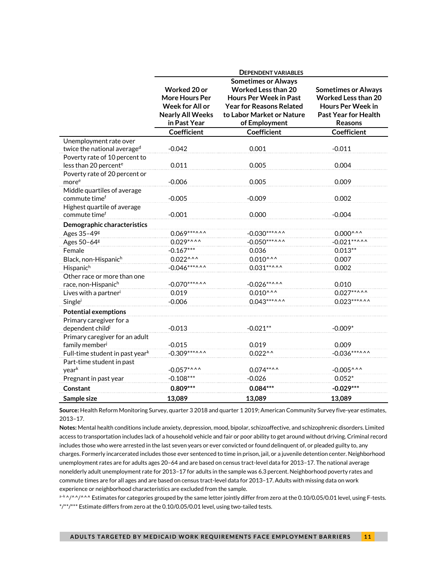|                                                                    | <b>DEPENDENT VARIABLES</b>                                                                          |                                                                                                                                                                            |                                                                                                                                |  |
|--------------------------------------------------------------------|-----------------------------------------------------------------------------------------------------|----------------------------------------------------------------------------------------------------------------------------------------------------------------------------|--------------------------------------------------------------------------------------------------------------------------------|--|
|                                                                    | Worked 20 or<br><b>More Hours Per</b><br>Week for All or<br><b>Nearly All Weeks</b><br>in Past Year | <b>Sometimes or Always</b><br><b>Worked Less than 20</b><br><b>Hours Per Week in Past</b><br><b>Year for Reasons Related</b><br>to Labor Market or Nature<br>of Employment | <b>Sometimes or Always</b><br><b>Worked Less than 20</b><br><b>Hours Per Week in</b><br><b>Past Year for Health</b><br>Reasons |  |
|                                                                    | <b>Coefficient</b>                                                                                  | <b>Coefficient</b>                                                                                                                                                         | Coefficient                                                                                                                    |  |
| Unemployment rate over<br>twice the national average <sup>d</sup>  | $-0.042$                                                                                            | 0.001                                                                                                                                                                      | $-0.011$                                                                                                                       |  |
| Poverty rate of 10 percent to<br>less than 20 percent <sup>e</sup> | 0.011                                                                                               | 0.005                                                                                                                                                                      | 0.004                                                                                                                          |  |
| Poverty rate of 20 percent or<br>more <sup>e</sup>                 | $-0.006$                                                                                            | 0.005                                                                                                                                                                      | 0.009                                                                                                                          |  |
| Middle quartiles of average<br>commute time <sup>f</sup>           | $-0.005$                                                                                            | $-0.009$                                                                                                                                                                   | 0.002                                                                                                                          |  |
| Highest quartile of average<br>commute timef                       | $-0.001$                                                                                            | 0.000                                                                                                                                                                      | $-0.004$                                                                                                                       |  |
| Demographic characteristics                                        |                                                                                                     |                                                                                                                                                                            |                                                                                                                                |  |
| Ages 35-49 <sup>g</sup>                                            | $0.069***$                                                                                          | $-0.030***$                                                                                                                                                                | $0.000^{\wedge \wedge \wedge}$                                                                                                 |  |
| Ages 50-64 <sup>g</sup>                                            | $0.029***$                                                                                          | $-0.050***$ ^^                                                                                                                                                             | $-0.021***$                                                                                                                    |  |
| Female                                                             | $-0.167***$                                                                                         | 0.036                                                                                                                                                                      | $0.013**$                                                                                                                      |  |
| Black, non-Hispanich                                               | $0.022^{\wedge\wedge\wedge}$                                                                        | $0.010^{\wedge\wedge\wedge}$                                                                                                                                               | 0.007                                                                                                                          |  |
| Hispanic <sup>h</sup>                                              | $-0.046***$                                                                                         | $0.031***$ ^ ^ ^                                                                                                                                                           | 0.002                                                                                                                          |  |
| Other race or more than one<br>race, non-Hispanich                 | $-0.070***$ ^ ^                                                                                     | $-0.026***$ ^ ^ ^                                                                                                                                                          | 0.010                                                                                                                          |  |
| Lives with a partner <sup>i</sup>                                  | 0.019                                                                                               | $0.010^{\wedge \wedge \wedge}$                                                                                                                                             | $0.027***$ ^ ^ ^                                                                                                               |  |
| Singlei                                                            | $-0.006$                                                                                            | $0.043***$                                                                                                                                                                 | $0.023***$ ^ ^ ^                                                                                                               |  |
| <b>Potential exemptions</b>                                        |                                                                                                     |                                                                                                                                                                            |                                                                                                                                |  |
| Primary caregiver for a<br>dependent child <sup>j</sup>            | $-0.013$                                                                                            | $-0.021**$                                                                                                                                                                 | $-0.009*$                                                                                                                      |  |
| Primary caregiver for an adult<br>family member <sup>j</sup>       | $-0.015$                                                                                            | 0.019                                                                                                                                                                      | 0.009                                                                                                                          |  |
| Full-time student in past year <sup>k</sup>                        | $-0.309***$                                                                                         | $0.022^{\wedge \wedge}$                                                                                                                                                    | $-0.036***$                                                                                                                    |  |
| Part-time student in past<br>yeark                                 | $-0.057$ *^^^                                                                                       | $0.074***$                                                                                                                                                                 | $-0.005^{\wedge\wedge\wedge}$                                                                                                  |  |
| Pregnant in past year                                              | $-0.108***$                                                                                         | $-0.026$                                                                                                                                                                   | $0.052*$                                                                                                                       |  |
| Constant                                                           | $0.809***$                                                                                          | $0.084***$                                                                                                                                                                 | $-0.029***$                                                                                                                    |  |
| Sample size                                                        | 13.089                                                                                              | 13.089                                                                                                                                                                     | 13,089                                                                                                                         |  |

**Source:** Health Reform Monitoring Survey, quarter 3 2018 and quarter 1 2019; American Community Survey five-year estimates, 2013–17.

**Notes:** Mental health conditions include anxiety, depression, mood, bipolar, schizoaffective, and schizophrenic disorders. Limited access to transportation includes lack of a household vehicle and fair or poor ability to get around without driving. Criminal record includes those who were arrested in the last seven years or ever convicted or found delinquent of, or pleaded guilty to, any charges. Formerly incarcerated includes those ever sentenced to time in prison, jail, or a juvenile detention center. Neighborhood unemployment rates are for adults ages 20–64 and are based on census tract-level data for 2013–17. The national average nonelderly adult unemployment rate for 2013–17 for adults in the sample was 6.3 percent. Neighborhood poverty rates and commute times are for all ages and are based on census tract-level data for 2013–17. Adults with missing data on work experience or neighborhood characteristics are excluded from the sample.

a-k^/^^/^^^ Estimates for categories grouped by the same letter jointly differ from zero at the 0.10/0.05/0.01 level, using F-tests. \*/\*\*/\*\*\* Estimate differs from zero at the 0.10/0.05/0.01 level, using two-tailed tests.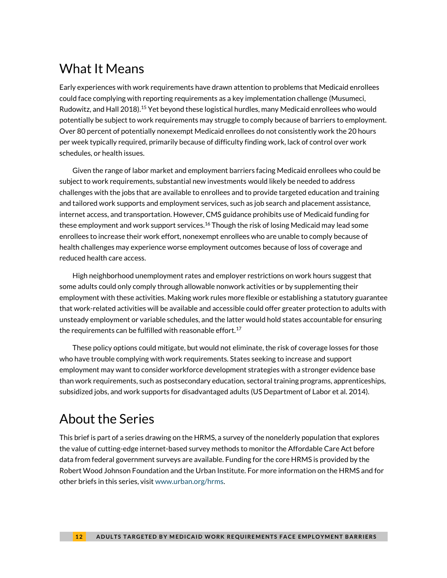# What It Means

Early experiences with work requirements have drawn attention to problems that Medicaid enrollees could face complying with reporting requirements as a key implementation challenge (Musumeci, Rudowitz, and Hall 2018). <sup>15</sup> Yet beyond these logistical hurdles, many Medicaid enrollees who would potentially be subject to work requirements may struggle to comply because of barriers to employment. Over 80 percent of potentially nonexempt Medicaid enrollees do not consistently work the 20 hours per week typically required, primarily because of difficulty finding work, lack of control over work schedules, or health issues.

Given the range of labor market and employment barriers facing Medicaid enrollees who could be subject to work requirements, substantial new investments would likely be needed to address challenges with the jobs that are available to enrollees and to provide targeted education and training and tailored work supports and employment services, such as job search and placement assistance, internet access, and transportation. However, CMS guidance prohibits use of Medicaid funding for these employment and work support services.<sup>16</sup> Though the risk of losing Medicaid may lead some enrollees to increase their work effort, nonexempt enrollees who are unable to comply because of health challenges may experience worse employment outcomes because of loss of coverage and reduced health care access.

High neighborhood unemployment rates and employer restrictions on work hours suggest that some adults could only comply through allowable nonwork activities or by supplementing their employment with these activities. Making work rules more flexible or establishing a statutory guarantee that work-related activities will be available and accessible could offer greater protection to adults with unsteady employment or variable schedules, and the latter would hold states accountable for ensuring the requirements can be fulfilled with reasonable effort.<sup>17</sup>

These policy options could mitigate, but would not eliminate, the risk of coverage losses for those who have trouble complying with work requirements. States seeking to increase and support employment may want to consider workforce development strategies with a stronger evidence base than work requirements, such as postsecondary education, sectoral training programs, apprenticeships, subsidized jobs, and work supports for disadvantaged adults (US Department of Labor et al. 2014).

# About the Series

This brief is part of a series drawing on the HRMS, a survey of the nonelderly population that explores the value of cutting-edge internet-based survey methods to monitor the Affordable Care Act before data from federal government surveys are available. Funding for the core HRMS is provided by the Robert Wood Johnson Foundation and the Urban Institute. For more information on the HRMS and for other briefs in this series, visi[t www.urban.org/hrms.](http://www.urban.org/hrms)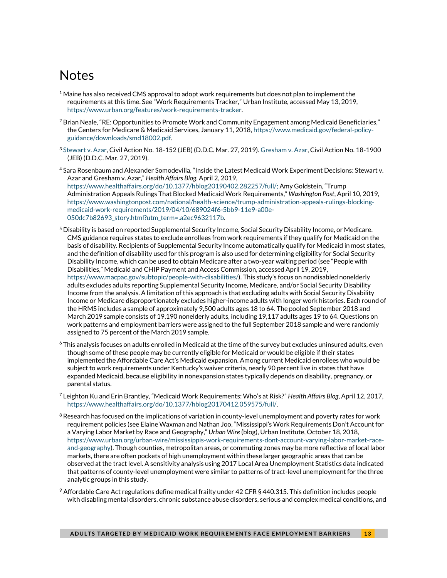# **Notes**

- $1$  Maine has also received CMS approval to adopt work requirements but does not plan to implement the requirements at this time. See "Work Requirements Tracker," Urban Institute, accessed May 13, 2019, [https://www.urban.org/features/work-requirements-tracker.](https://www.urban.org/features/work-requirements-tracker)
- $^2$  Brian Neale, "RE: Opportunities to Promote Work and Community Engagement among Medicaid Beneficiaries," the Centers for Medicare & Medicaid Services, January 11, 2018[, https://www.medicaid.gov/federal-policy](https://www.medicaid.gov/federal-policy-guidance/downloads/smd18002.pdf)[guidance/downloads/smd18002.pdf.](https://www.medicaid.gov/federal-policy-guidance/downloads/smd18002.pdf)
- <sup>3</sup> [Stewart v. Azar,](https://ecf.dcd.uscourts.gov/cgi-bin/show_public_doc?2018cv0152-74) Civil Action No. 18-152 (JEB) (D.D.C. Mar. 27, 2019)[. Gresham v. Azar,](https://ecf.dcd.uscourts.gov/cgi-bin/show_public_doc?2018cv0152-132) Civil Action No. 18-1900 (JEB) (D.D.C. Mar. 27, 2019).
- <sup>4</sup> Sara Rosenbaum and Alexander Somodevilla, "Inside the Latest Medicaid Work Experiment Decisions: Stewart v. Azar and Gresham v. Azar," *Health Affairs Blog*, April 2, 2019, [https://www.healthaffairs.org/do/10.1377/hblog20190402.282257/full/;](https://www.healthaffairs.org/do/10.1377/hblog20190402.282257/full/) Amy Goldstein, "Trump Administration Appeals Rulings That Blocked Medicaid Work Requirements," *Washington Post*, April 10, 2019, [https://www.washingtonpost.com/national/health-science/trump-administration-appeals-rulings-blocking](https://www.washingtonpost.com/national/health-science/trump-administration-appeals-rulings-blocking-medicaid-work-requirements/2019/04/10/689024f6-5bb9-11e9-a00e-050dc7b82693_story.html?utm_term=.a2ec9632117b)[medicaid-work-requirements/2019/04/10/689024f6-5bb9-11e9-a00e-](https://www.washingtonpost.com/national/health-science/trump-administration-appeals-rulings-blocking-medicaid-work-requirements/2019/04/10/689024f6-5bb9-11e9-a00e-050dc7b82693_story.html?utm_term=.a2ec9632117b)[050dc7b82693\\_story.html?utm\\_term=.a2ec9632117b.](https://www.washingtonpost.com/national/health-science/trump-administration-appeals-rulings-blocking-medicaid-work-requirements/2019/04/10/689024f6-5bb9-11e9-a00e-050dc7b82693_story.html?utm_term=.a2ec9632117b)
- $^5$  Disability is based on reported Supplemental Security Income, Social Security Disability Income, or Medicare. CMS guidance requires states to exclude enrollees from work requirements if they qualify for Medicaid on the basis of disability. Recipients of Supplemental Security Income automatically qualify for Medicaid in most states, and the definition of disability used for this program is also used for determining eligibility for Social Security Disability Income, which can be used to obtain Medicare after a two-year waiting period (see "People with Disabilities," Medicaid and CHIP Payment and Access Commission, accessed April 19, 2019, [https://www.macpac.gov/subtopic/people-with-disabilities/\)](https://www.macpac.gov/subtopic/people-with-disabilities/). This study's focus on nondisabled nonelderly adults excludes adults reporting Supplemental Security Income, Medicare, and/or Social Security Disability Income from the analysis. A limitation of this approach is that excluding adults with Social Security Disability Income or Medicare disproportionately excludes higher-income adults with longer work histories. Each round of the HRMS includes a sample of approximately 9,500 adults ages 18 to 64. The pooled September 2018 and March 2019 sample consists of 19,190 nonelderly adults, including 19,117 adults ages 19 to 64. Questions on work patterns and employment barriers were assigned to the full September 2018 sample and were randomly assigned to 75 percent of the March 2019 sample.
- <sup>6</sup> This analysis focuses on adults enrolled in Medicaid at the time of the survey but excludes uninsured adults, even though some of these people may be currently eligible for Medicaid or would be eligible if their states implemented the Affordable Care Act's Medicaid expansion. Among current Medicaid enrollees who would be subject to work requirements under Kentucky's waiver criteria, nearly 90 percent live in states that have expanded Medicaid, because eligibility in nonexpansion states typically depends on disability, pregnancy, or parental status.
- <sup>7</sup> Leighton Ku and Erin Brantley, ["Medicaid Work Requirements: Who's at Risk?"](https://www.healthaffairs.org/do/10.1377/hblog20170412.059575/full/) *Health Affairs Blog*, April 12, 2017, [https://www.healthaffairs.org/do/10.1377/hblog20170412.059575/full/.](https://www.healthaffairs.org/do/10.1377/hblog20170412.059575/full/)
- $8$  Research has focused on the implications of variation in county-level unemployment and poverty rates for work requirement policies (see Elaine Waxman and Nathan Joo, "Mississippi's Work Requirements Don't Account for a Varying Labor Market by Race and Geography," *Urban Wire* (blog), Urban Institute, October 18, 2018, [https://www.urban.org/urban-wire/mississippis-work-requirements-dont-account-varying-labor-market-race](https://www.urban.org/urban-wire/mississippis-work-requirements-dont-account-varying-labor-market-race-and-geography)[and-geography\)](https://www.urban.org/urban-wire/mississippis-work-requirements-dont-account-varying-labor-market-race-and-geography). Though counties, metropolitan areas, or commuting zones may be more reflective of local labor markets, there are often pockets of high unemployment within these larger geographic areas that can be observed at the tract level. A sensitivity analysis using 2017 Local Area Unemployment Statistics data indicated that patterns of county-level unemployment were similar to patterns of tract-level unemployment for the three analytic groups in this study.
- $9$  Affordable Care Act regulations define medical frailty under 42 CFR § 440.315. This definition includes people with disabling mental disorders, chronic substance abuse disorders, serious and complex medical conditions, and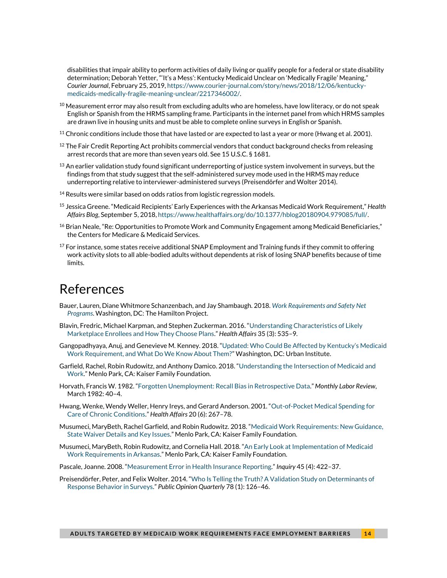disabilities that impair ability to perform activities of daily living or qualify people for a federal or state disability determination; Deborah Yetter, "'It's a Mess': Kentucky Medicaid Unclear on 'Medically Fragile' Meaning," *Courier Journal*, February 25, 2019[, https://www.courier-journal.com/story/news/2018/12/06/kentucky](https://www.courier-journal.com/story/news/2018/12/06/kentucky-medicaids-medically-fragile-meaning-unclear/2217346002/)[medicaids-medically-fragile-meaning-unclear/2217346002/.](https://www.courier-journal.com/story/news/2018/12/06/kentucky-medicaids-medically-fragile-meaning-unclear/2217346002/)

- $^{10}$  Measurement error may also result from excluding adults who are homeless, have low literacy, or do not speak English or Spanish from the HRMS sampling frame. Participants in the internet panel from which HRMS samples are drawn live in housing units and must be able to complete online surveys in English or Spanish.
- $11$  Chronic conditions include those that have lasted or are expected to last a year or more (Hwang et al. 2001).
- $12$  The Fair Credit Reporting Act prohibits commercial vendors that conduct background checks from releasing arrest records that are more than seven years old. See 15 U.S.C. § 1681.
- $^{13}$  An earlier validation study found significant underreporting of justice system involvement in surveys, but the findings from that study suggest that the self-administered survey mode used in the HRMS may reduce underreporting relative to interviewer-administered surveys (Preisendörfer and Wolter 2014).
- $14$  Results were similar based on odds ratios from logistic regression models.
- <sup>15</sup> Jessica Greene. ["Medicaid Recipients' Early Experiences with the Arkansas Medica](https://www.healthaffairs.org/do/10.1377/hblog20180904.979085/full/)id Work Requirement," *Health Affairs Blog*, September 5, 2018[, https://www.healthaffairs.org/do/10.1377/hblog20180904.979085/full/.](https://www.healthaffairs.org/do/10.1377/hblog20180904.979085/full/)
- <sup>16</sup> Brian Neale, "Re: Opportunities to Promote Work and Community Engagement among Medicaid Beneficiaries," the Centers for Medicare & Medicaid Services.
- $17$  For instance, some states receive additional SNAP Employment and Training funds if they commit to offering work activity slots to all able-bodied adults without dependents at risk of losing SNAP benefits because oftime limits.

# References

- Bauer, Lauren, Diane Whitmore Schanzenbach, and Jay Shambaugh. 2018. *[Work Requirements and Safety Net](https://www.brookings.edu/research/work-requirements-and-safety-net-programs/)  [Programs](https://www.brookings.edu/research/work-requirements-and-safety-net-programs/)*. Washington, DC: The Hamilton Project.
- Blavin, Fredric, Michael Karpman, and Stephen Zuckerman. 2016. "[Understanding Characteristics of Likely](https://www.healthaffairs.org/doi/full/10.1377/hlthaff.2015.0867)  [Marketplace Enrollees and How They Choose Plans](https://www.healthaffairs.org/doi/full/10.1377/hlthaff.2015.0867)." *Health Affairs* 35 (3): 535–9.
- Gangopadhyaya, Anuj, and Genevieve M. Kenney. 2018. "Updated: Who [Could Be Affected by Kentucky's Medicaid](https://www.urban.org/research/publication/updated-who-could-be-affected-kentuckys-medicaid-work-requirements-and-what-do-we-know-about-them)  [Work Requirement, and What Do We Know About Them?](https://www.urban.org/research/publication/updated-who-could-be-affected-kentuckys-medicaid-work-requirements-and-what-do-we-know-about-them)" Washington, DC: Urban Institute.
- Garfield, Rachel, Robin Rudowitz, and Anthony Damico. 2018. "[Understanding the Intersection of Medicaid and](http://files.kff.org/attachment/Issue-Brief-Understanding-the-Intersection-of-Medicaid-and-Work)  [Work.](http://files.kff.org/attachment/Issue-Brief-Understanding-the-Intersection-of-Medicaid-and-Work)" Menlo Park, CA: Kaiser Family Foundation.
- Horvath, Francis W. 1982. "Forgotten Unemployment: [Recall Bias in Retrospective Data](https://www.bls.gov/opub/mlr/1982/03/rpt3full.pdf)." *Monthly Labor Review*, March 1982: 40–4.
- Hwang, Wenke, Wendy Weller, Henry Ireys, and Gerard Anderson. 2001. "[Out-of-Pocket Medical Spending](https://www.healthaffairs.org/doi/full/10.1377/hlthaff.20.6.267) for [Care of Chronic Conditions](https://www.healthaffairs.org/doi/full/10.1377/hlthaff.20.6.267)." *Health Affairs* 20 (6): 267–78.
- Musumeci, MaryBeth, Rachel Garfield, and Robin Rudowitz. 2018. "[Medicaid Work Requirements: New Guidance,](https://www.kff.org/medicaid/issue-brief/medicaid-and-work-requirements-new-guidance-state-waiver-details-and-key-issues/)  [State Waiver Details and Key Issues.](https://www.kff.org/medicaid/issue-brief/medicaid-and-work-requirements-new-guidance-state-waiver-details-and-key-issues/)" Menlo Park, CA: Kaiser Family Foundation.
- Musumeci, MaryBeth, Robin Rudowitz, and Cornelia Hall. 2018. "[An Early Look at Implementation of Medicaid](https://www.kff.org/medicaid/issue-brief/an-early-look-at-implementation-of-medicaid-work-requirements-in-arkansas/)  [Work Requirements in Arkansas.](https://www.kff.org/medicaid/issue-brief/an-early-look-at-implementation-of-medicaid-work-requirements-in-arkansas/)" Menlo Park, CA: Kaiser Family Foundation.
- Pascale, Joanne. 2008. "[Measurement Error in Health Insurance Reporting](https://doi.org/10.5034%2Finquiryjrnl_45.04.422)." *Inquiry* 45 (4): 422–37.
- Preisendörfer, Peter, and Felix Wolter. 2014. "Who [Is Telling the Truth? A Validation Study on Determinants of](https://doi.org/10.1093/poq/nft079)  [Response Behavior in Surveys](https://doi.org/10.1093/poq/nft079)." *Public Opinion Quarterly* 78 (1): 126–46.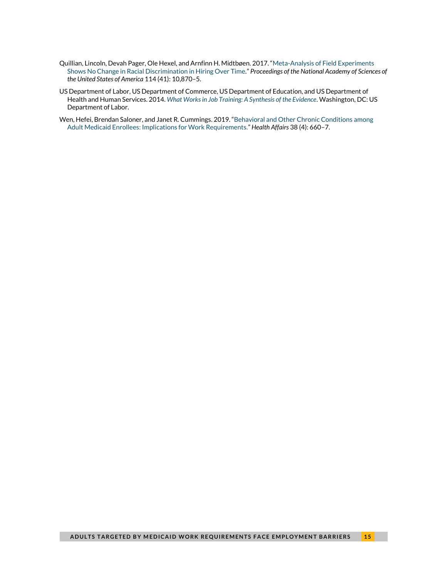- Quillian, Lincoln, Devah Pager, Ole Hexel, and Arnfinn H. Midtbøen. 2017. "[Meta-Analysis of Field Experiments](https://doi.org/10.1073/pnas.1706255114)  [Shows No Change in Racial Discrimination in Hiring Over Time](https://doi.org/10.1073/pnas.1706255114)." *Proceedings of the National Academy of Sciences of the United States of America* 114 (41): 10,870–5.
- US Department of Labor, US Department of Commerce, US Department of Education, and US Department of Health and Human Services. 2014. *[What Works in Job Training: A Synthesis of the Evidence](https://www.dol.gov/asp/evaluation/jdt/jdt.pdf)*. Washington, DC: US Department of Labor.
- Wen, Hefei, Brendan Saloner, and Janet R. Cummings. 2019. "[Behavioral and Other Chronic Conditions among](https://www.healthaffairs.org/doi/full/10.1377/hlthaff.2018.05059)  [Adult Medicaid Enrollees: Implications for Work Requirements.](https://www.healthaffairs.org/doi/full/10.1377/hlthaff.2018.05059)" *Health Affairs* 38 (4): 660–7.